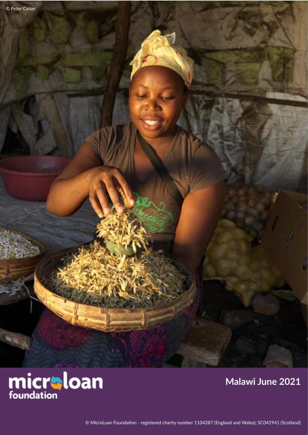

### **Malawi June 2021**

© MicroLoan Foundation - registered charity number 1104287 (England and Wales); SC041941 (Scotland)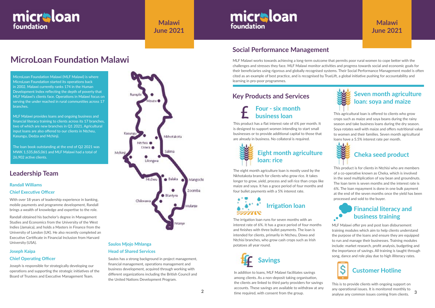# **MicroLoan Foundation Malawi**

# **Leadership Team**

MLF Malawi works towards achieving a long-term outcome that permits poor rural women to cope better with the challenges and stresses they face. MLF Malawi monitor activities and progress towards social and economic goals for their beneficiaries using rigorous and globally recognised systems. Their Social Performance Management model is often cited as an example of best practice, and is recognised by TrueLift, a global initiative pushing for accountability and learning in pro-poor programmes.

# **Social Performance Management**

#### **Joseph Kaipa**

#### **Chief Operating Officer**

Joseph is responsible for strategically developing our operations and supporting the strategic initiatives of the Board of Trustees and Executive Management Team.





**Malawi June 2021**

# micraloan foundation

MicroLoan Foundation Malawi (MLF Malawi) is where MicroLoan Foundation started its operations back in 2002. Malawi currently ranks 174 in the Human Development Index reflecting the depth of poverty that MLF Malawi's clients face. Operations in Malawi focus on serving the under reached in rural communities across 17 branches.

MLF Malawi provides loans and ongoing business and financial literacy training to clients across its 17 branches, two of which are new branches in Q1 2021. Agricultural input loans are also offered to our clients in Ntcheu, Kasungu, Dedza and Mchinji.

The loan book outstanding at the end of Q2 2021 was MWK 1,535,865,061 and MLF Malawi had a total of 26,902 active clients.

# **Key Products and Services**



This is to provide clients with ongoing support on any operational issues. It is monitored monthly to analyse any common issues coming from clients.

#### **Financial literacy and**   $\cdot$ **business training**

MLF Malawi offer pre and post loan disbursement training modules which aim to help clients understand the purpose of the loans and ensure they are equipped to run and manage their businesses. Training modules include: market research, profit analysis, budgeting and the importance of savings. All training is taught through song, dance and role play due to high illiteracy rates.

This product has a flat interest rate of 6% per month. It is designed to support women intending to start small businesses or to provide additional capital to those that are already in business. No collateral is required.

### **Four - six month business loan**



In addition to loans, MLF Malawi facilitates savings among clients. As a non-deposit taking organisation, the clients are linked to third party providers for savings accounts. These savings are available to withdraw at any time required, with consent from the group.

The eight month agriculture loan is mostly used by the Nkhotakota branch for clients who grow rice. It takes longer to grow, yield, process and sell rice than crops like maize and soya. It has a grace period of four months and four bullet payments with a 5% interest rate.

This agricultural loan is offered to clients who grow crops such as maize and soya beans during the rainy season and take business loans during the dry season. Soya rotates well with maize and offers nutritional value to women and their families. Seven month agricultural loans have a 5.5% interest rate per month.





#### **Seven month agriculture loan: soya and maize**

#### **Randall Williams**

#### **Chief Executive Officer**

With over 18 years of leadership experience in banking, mobile payments and programme development, Randall brings a wealth of knowledge and expertise to the role.

Randall obtained his bachelor's degree in Management Studies and Economics from the University of the West Indies (Jamaica), and holds a Masters in Finance from the University of London (UK). He also recently completed an Executive Certificate in Financial Inclusion from Harvard University (USA). **Saulos Mjojo Mhlanga**

# **Head of Shared Services**

Saulos has a strong background in project management, financial management, operations management and business development, acquired through working with different organizations including the British Council and the United Nations Development Program.

### **Malawi June 2021**





The irrigation loan runs for seven months with an interest rate of 6%. It has a grace period of four months and finishes with three bullet payments. The loan is intended for clients, primarily in Ntcheu, Dowa and Ntchisi branches, who grow cash crops such as Irish potatoes all year round.

# **Cheka seed product**

This product is for clients in Ntchisi who are members of a co-operative known as Cheka, which is involved in the seed multiplication of soy bean and groundnuts. The loan term is seven months and the interest rate is 6%. The loan repayment is done in one bulk payment at the end of the seven months once the yield has been processed and sold to the buyer.